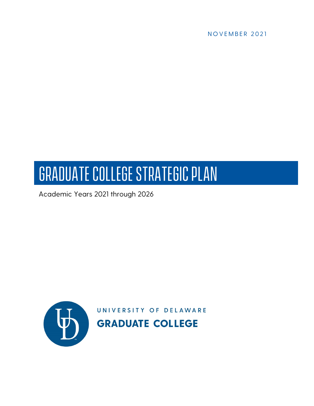

# Graduate College Strategic Plan

Academic Years 2021 through 2026

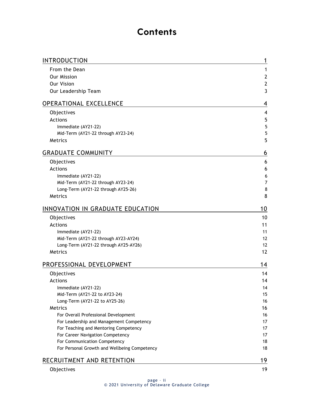### **Contents**

| INTRODUCTION                                    | 1              |
|-------------------------------------------------|----------------|
| From the Dean                                   | 1              |
| <b>Our Mission</b>                              | $\overline{2}$ |
| <b>Our Vision</b>                               | $\mathbf{2}$   |
| Our Leadership Team                             | 3              |
| OPERATIONAL EXCELLENCE                          | 4              |
| Objectives                                      | 4              |
| <b>Actions</b>                                  | 5              |
| Immediate (AY21-22)                             | 5              |
| Mid-Term (AY21-22 through AY23-24)              | 5              |
| Metrics                                         | 5              |
| <b>GRADUATE COMMUNITY</b>                       | 6              |
| Objectives                                      | 6              |
| <b>Actions</b>                                  | 6              |
| Immediate (AY21-22)                             | 6              |
| Mid-Term (AY21-22 through AY23-24)              | $\overline{7}$ |
| Long-Term (AY21-22 through AY25-26)             | 8              |
| Metrics                                         | 8              |
| INNOVATION IN GRADUATE EDUCATION                | 10             |
| Objectives                                      | 10             |
| <b>Actions</b>                                  | 11             |
| Immediate (AY21-22)                             | 11             |
| Mid-Term (AY21-22 through AY23-AY24)            | 12             |
| Long-Term (AY21-22 through AY25-AY26)           | 12             |
| Metrics                                         | 12             |
| PROFESSIONAL DEVELOPMENT                        | 14             |
| Objectives                                      | 14             |
| <b>Actions</b>                                  | 14             |
| Immediate (AY21-22)                             | 14             |
| Mid-Term (AY21-22 to AY23-24)                   | 15             |
| Long-Term (AY21-22 to AY25-26)                  | 16             |
| Metrics<br>For Overall Professional Development | 16<br>16       |
| For Leadership and Management Competency        | 17             |
| For Teaching and Mentoring Competency           | 17             |
| For Career Navigation Competency                | 17             |
| For Communication Competency                    | 18             |
| For Personal Growth and Wellbeing Competency    | 18             |
| RECRUITMENT AND RETENTION                       | 19             |
| Objectives                                      | 19             |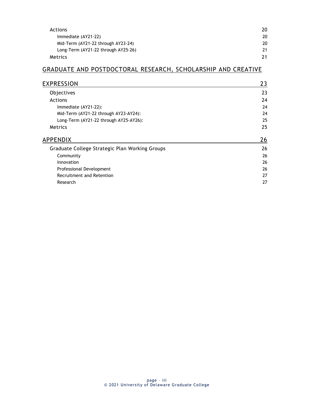| Actions                             | 20 |
|-------------------------------------|----|
| Immediate (AY21-22)                 | 20 |
| Mid-Term (AY21-22 through AY23-24)  | 20 |
| Long-Term (AY21-22 through AY25-26) | 21 |
| Metrics                             | 21 |

#### [GRADUATE AND POSTDOCTORAL RESEARCH, SCHOLARSHIP AND CREATIVE](#page-25-0)

| EXPRESSION                                     | 23 |
|------------------------------------------------|----|
| Objectives                                     | 23 |
| <b>Actions</b>                                 | 24 |
| Immediate (AY21-22):                           | 24 |
| Mid-Term (AY21-22 through AY23-AY24):          | 24 |
| Long-Term (AY21-22 through AY25-AY26):         | 25 |
| <b>Metrics</b>                                 | 25 |
| APPENDIX                                       | 26 |
| Graduate College Strategic Plan Working Groups | 26 |
| Community                                      | 26 |
| Innovation                                     | 26 |
| Professional Development                       | 26 |
| Recruitment and Retention                      | 27 |
| Research                                       | 27 |
|                                                |    |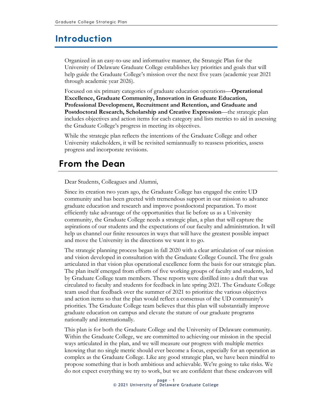#### <span id="page-3-0"></span>**Introduction**

Organized in an easy-to-use and informative manner, the Strategic Plan for the University of Delaware Graduate College establishes key priorities and goals that will help guide the Graduate College's mission over the next five years (academic year 2021 through academic year 2026).

Focused on six primary categories of graduate education operations—**Operational Excellence, Graduate Community, Innovation in Graduate Education, Professional Development, Recruitment and Retention, and Graduate and Postdoctoral Research, Scholarship and Creative Expression**—the strategic plan includes objectives and action items for each category and lists metrics to aid in assessing the Graduate College's progress in meeting its objectives.

While the strategic plan reflects the intentions of the Graduate College and other University stakeholders, it will be revisited semiannually to reassess priorities, assess progress and incorporate revisions.

### <span id="page-3-1"></span>**From the Dean**

Dear Students, Colleagues and Alumni,

Since its creation two years ago, the Graduate College has engaged the entire UD community and has been greeted with tremendous support in our mission to advance graduate education and research and improve postdoctoral preparation. To most efficiently take advantage of the opportunities that lie before us as a University community, the Graduate College needs a strategic plan, a plan that will capture the aspirations of our students and the expectations of our faculty and administration. It will help us channel our finite resources in ways that will have the greatest possible impact and move the University in the directions we want it to go.

The strategic planning process began in fall 2020 with a clear articulation of our mission and vision developed in consultation with the Graduate College Council. The five goals articulated in that vision plus operational excellence form the basis for our strategic plan. The plan itself emerged from efforts of five working groups of faculty and students, led by Graduate College team members. These reports were distilled into a draft that was circulated to faculty and students for feedback in late spring 2021. The Graduate College team used that feedback over the summer of 2021 to prioritize the various objectives and action items so that the plan would reflect a consensus of the UD community's priorities. The Graduate College team believes that this plan will substantially improve graduate education on campus and elevate the stature of our graduate programs nationally and internationally.

This plan is for both the Graduate College and the University of Delaware community. Within the Graduate College, we are committed to achieving our mission in the special ways articulated in the plan, and we will measure our progress with multiple metrics knowing that no single metric should ever become a focus, especially for an operation as complex as the Graduate College. Like any good strategic plan, we have been mindful to propose something that is both ambitious and achievable. We're going to take risks. We do not expect everything we try to work, but we are confident that these endeavors will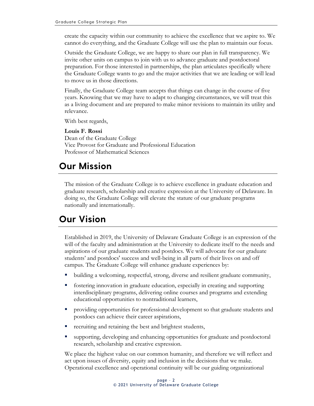create the capacity within our community to achieve the excellence that we aspire to. We cannot do everything, and the Graduate College will use the plan to maintain our focus.

Outside the Graduate College, we are happy to share our plan in full transparency. We invite other units on campus to join with us to advance graduate and postdoctoral preparation. For those interested in partnerships, the plan articulates specifically where the Graduate College wants to go and the major activities that we are leading or will lead to move us in those directions.

Finally, the Graduate College team accepts that things can change in the course of five years. Knowing that we may have to adapt to changing circumstances, we will treat this as a living document and are prepared to make minor revisions to maintain its utility and relevance.

With best regards,

**Louis F. Rossi** Dean of the Graduate College Vice Provost for Graduate and Professional Education Professor of Mathematical Sciences

# <span id="page-4-0"></span>**Our Mission**

The mission of the Graduate College is to achieve excellence in graduate education and graduate research, scholarship and creative expression at the University of Delaware. In doing so, the Graduate College will elevate the stature of our graduate programs nationally and internationally.

# <span id="page-4-1"></span>**Our Vision**

Established in 2019, the University of Delaware Graduate College is an expression of the will of the faculty and administration at the University to dedicate itself to the needs and aspirations of our graduate students and postdocs. We will advocate for our graduate students' and postdocs' success and well-being in all parts of their lives on and off campus. The Graduate College will enhance graduate experiences by:

- building a welcoming, respectful, strong, diverse and resilient graduate community,
- **F** fostering innovation in graduate education, especially in creating and supporting interdisciplinary programs, delivering online courses and programs and extending educational opportunities to nontraditional learners,
- providing opportunities for professional development so that graduate students and postdocs can achieve their career aspirations,
- recruiting and retaining the best and brightest students,
- supporting, developing and enhancing opportunities for graduate and postdoctoral research, scholarship and creative expression.

We place the highest value on our common humanity, and therefore we will reflect and act upon issues of diversity, equity and inclusion in the decisions that we make. Operational excellence and operational continuity will be our guiding organizational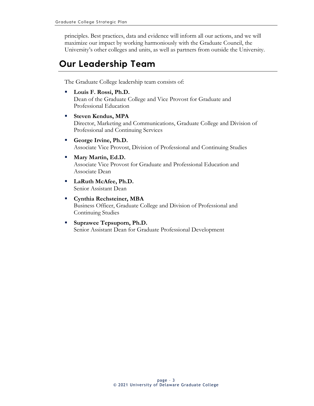principles. Best practices, data and evidence will inform all our actions, and we will maximize our impact by working harmoniously with the Graduate Council, the University's other colleges and units, as well as partners from outside the University.

# <span id="page-5-0"></span>**Our Leadership Team**

The Graduate College leadership team consists of:

- **Louis F. Rossi, Ph.D.** Dean of the Graduate College and Vice Provost for Graduate and Professional Education
- **Steven Kendus, MPA** Director, Marketing and Communications, Graduate College and Division of Professional and Continuing Services
- **George Irvine, Ph.D.** Associate Vice Provost, Division of Professional and Continuing Studies
- **Martin, Ed.D.** Associate Vice Provost for Graduate and Professional Education and Associate Dean
- **LaRuth McAfee, Ph.D.** Senior Assistant Dean
- **Cynthia Rechsteiner, MBA** Business Officer, Graduate College and Division of Professional and Continuing Studies
- **Suprawee Tepsuporn, Ph.D.** Senior Assistant Dean for Graduate Professional Development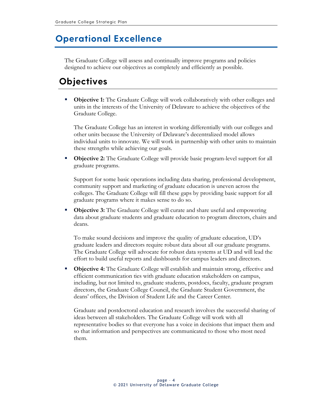## <span id="page-6-0"></span>**Operational Excellence**

The Graduate College will assess and continually improve programs and policies designed to achieve our objectives as completely and efficiently as possible.

# <span id="page-6-1"></span>**Objectives**

**Differential Objective 1:** The Graduate College will work collaboratively with other colleges and units in the interests of the University of Delaware to achieve the objectives of the Graduate College.

The Graduate College has an interest in working differentially with our colleges and other units because the University of Delaware's decentralized model allows individual units to innovate. We will work in partnership with other units to maintain these strengths while achieving our goals.

**• Objective 2:** The Graduate College will provide basic program-level support for all graduate programs.

Support for some basic operations including data sharing, professional development, community support and marketing of graduate education is uneven across the colleges. The Graduate College will fill these gaps by providing basic support for all graduate programs where it makes sense to do so.

**Objective 3:** The Graduate College will curate and share useful and empowering data about graduate students and graduate education to program directors, chairs and deans.

To make sound decisions and improve the quality of graduate education, UD's graduate leaders and directors require robust data about all our graduate programs. The Graduate College will advocate for robust data systems at UD and will lead the effort to build useful reports and dashboards for campus leaders and directors.

**• Objective 4:** The Graduate College will establish and maintain strong, effective and efficient communication ties with graduate education stakeholders on campus, including, but not limited to, graduate students, postdocs, faculty, graduate program directors, the Graduate College Council, the Graduate Student Government, the deans' offices, the Division of Student Life and the Career Center.

Graduate and postdoctoral education and research involves the successful sharing of ideas between all stakeholders. The Graduate College will work with all representative bodies so that everyone has a voice in decisions that impact them and so that information and perspectives are communicated to those who most need them.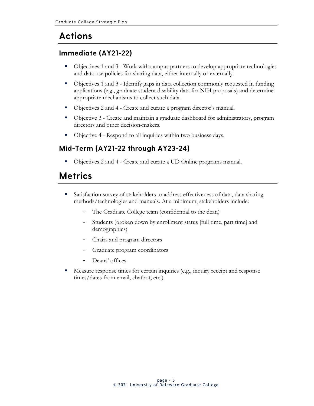# <span id="page-7-0"></span>**Actions**

#### <span id="page-7-1"></span>**Immediate (AY21-22)**

- Objectives 1 and 3 Work with campus partners to develop appropriate technologies and data use policies for sharing data, either internally or externally.
- Objectives 1 and 3 Identify gaps in data collection commonly requested in funding applications (e.g., graduate student disability data for NIH proposals) and determine appropriate mechanisms to collect such data.
- Objectives 2 and 4 Create and curate a program director's manual.
- Objective 3 Create and maintain a graduate dashboard for administrators, program directors and other decision-makers.
- Objective 4 Respond to all inquiries within two business days.

#### <span id="page-7-2"></span>**Mid-Term (AY21-22 through AY23-24)**

Objectives 2 and 4 - Create and curate a UD Online programs manual.

# <span id="page-7-3"></span>**Metrics**

- Satisfaction survey of stakeholders to address effectiveness of data, data sharing methods/technologies and manuals. At a minimum, stakeholders include:
	- The Graduate College team (confidential to the dean)
	- Students (broken down by enrollment status [full time, part time] and demographics)
	- Chairs and program directors
	- Graduate program coordinators
	- Deans' offices
- Measure response times for certain inquiries (e.g., inquiry receipt and response times/dates from email, chatbot, etc.).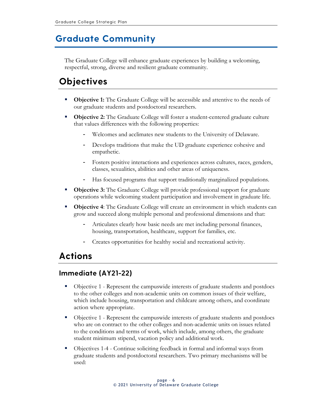### <span id="page-8-0"></span>**Graduate Community**

The Graduate College will enhance graduate experiences by building a welcoming, respectful, strong, diverse and resilient graduate community.

## <span id="page-8-1"></span>**Objectives**

- **Objective 1:** The Graduate College will be accessible and attentive to the needs of our graduate students and postdoctoral researchers.
- **Objective 2:** The Graduate College will foster a student-centered graduate culture that values differences with the following properties:
	- Welcomes and acclimates new students to the University of Delaware.
	- Develops traditions that make the UD graduate experience cohesive and empathetic.
	- Fosters positive interactions and experiences across cultures, races, genders, classes, sexualities, abilities and other areas of uniqueness.
	- Has focused programs that support traditionally marginalized populations.
- **Objective 3:** The Graduate College will provide professional support for graduate operations while welcoming student participation and involvement in graduate life.
- **Objective 4:** The Graduate College will create an environment in which students can grow and succeed along multiple personal and professional dimensions and that:
	- Articulates clearly how basic needs are met including personal finances, housing, transportation, healthcare, support for families, etc.
	- Creates opportunities for healthy social and recreational activity.

### <span id="page-8-2"></span>**Actions**

#### <span id="page-8-3"></span>**Immediate (AY21-22)**

- Objective 1 Represent the campuswide interests of graduate students and postdocs to the other colleges and non-academic units on common issues of their welfare, which include housing, transportation and childcare among others, and coordinate action where appropriate.
- Objective 1 Represent the campuswide interests of graduate students and postdocs who are on contract to the other colleges and non-academic units on issues related to the conditions and terms of work, which include, among others, the graduate student minimum stipend, vacation policy and additional work.
- Objectives 1-4 Continue soliciting feedback in formal and informal ways from graduate students and postdoctoral researchers. Two primary mechanisms will be used: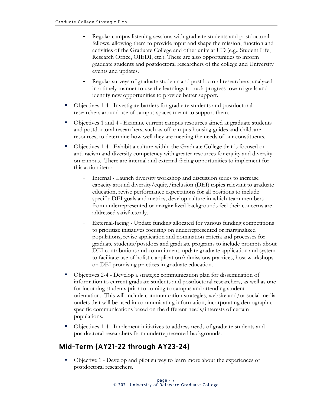- Regular campus listening sessions with graduate students and postdoctoral fellows, allowing them to provide input and shape the mission, function and activities of the Graduate College and other units at UD (e.g., Student Life, Research Office, OIEDI, etc.). These are also opportunities to inform graduate students and postdoctoral researchers of the college and University events and updates.
- Regular surveys of graduate students and postdoctoral researchers, analyzed in a timely manner to use the learnings to track progress toward goals and identify new opportunities to provide better support.
- Objectives 1-4 Investigate barriers for graduate students and postdoctoral researchers around use of campus spaces meant to support them.
- Objectives 1 and 4 Examine current campus resources aimed at graduate students and postdoctoral researchers, such as off-campus housing guides and childcare resources, to determine how well they are meeting the needs of our constituents.
- Objectives 1-4 Exhibit a culture within the Graduate College that is focused on anti-racism and diversity competency with greater resources for equity and diversity on campus. There are internal and external-facing opportunities to implement for this action item:
	- Internal Launch diversity workshop and discussion series to increase capacity around diversity/equity/inclusion (DEI) topics relevant to graduate education, revise performance expectations for all positions to include specific DEI goals and metrics, develop culture in which team members from underrepresented or marginalized backgrounds feel their concerns are addressed satisfactorily.
	- External-facing Update funding allocated for various funding competitions to prioritize initiatives focusing on underrepresented or marginalized populations, revise application and nomination criteria and processes for graduate students/postdocs and graduate programs to include prompts about DEI contributions and commitment, update graduate application and system to facilitate use of holistic application/admissions practices, host workshops on DEI promising practices in graduate education.
- Objectives 2-4 Develop a strategic communication plan for dissemination of information to current graduate students and postdoctoral researchers, as well as one for incoming students prior to coming to campus and attending student orientation. This will include communication strategies, website and/or social media outlets that will be used in communicating information, incorporating demographicspecific communications based on the different needs/interests of certain populations.
- Objectives 1-4 Implement initiatives to address needs of graduate students and postdoctoral researchers from underrepresented backgrounds.

#### <span id="page-9-0"></span>**Mid-Term (AY21-22 through AY23-24)**

 Objective 1 - Develop and pilot survey to learn more about the experiences of postdoctoral researchers.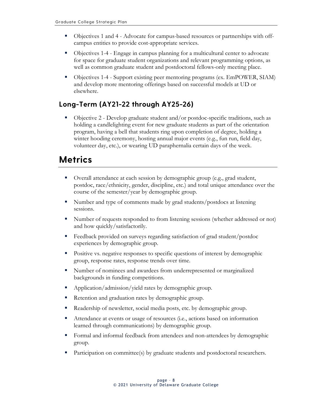- Objectives 1 and 4 Advocate for campus-based resources or partnerships with offcampus entities to provide cost-appropriate services.
- Objectives 1-4 Engage in campus planning for a multicultural center to advocate for space for graduate student organizations and relevant programming options, as well as common graduate student and postdoctoral fellows-only meeting place.
- Objectives 1-4 Support existing peer mentoring programs (ex. EmPOWER, SIAM) and develop more mentoring offerings based on successful models at UD or elsewhere.

#### <span id="page-10-0"></span>**Long-Term (AY21-22 through AY25-26)**

 Objective 2 - Develop graduate student and/or postdoc-specific traditions, such as holding a candlelighting event for new graduate students as part of the orientation program, having a bell that students ring upon completion of degree, holding a winter hooding ceremony, hosting annual major events (e.g., fun run, field day, volunteer day, etc.), or wearing UD paraphernalia certain days of the week.

### <span id="page-10-1"></span>**Metrics**

- Overall attendance at each session by demographic group (e.g., grad student, postdoc, race/ethnicity, gender, discipline, etc.) and total unique attendance over the course of the semester/year by demographic group.
- Number and type of comments made by grad students/postdocs at listening sessions.
- Number of requests responded to from listening sessions (whether addressed or not) and how quickly/satisfactorily.
- Feedback provided on surveys regarding satisfaction of grad student/postdoc experiences by demographic group.
- Positive vs. negative responses to specific questions of interest by demographic group, response rates, response trends over time.
- Number of nominees and awardees from underrepresented or marginalized backgrounds in funding competitions.
- Application/admission/yield rates by demographic group.
- Retention and graduation rates by demographic group.
- Readership of newsletter, social media posts, etc. by demographic group.
- Attendance at events or usage of resources (i.e., actions based on information learned through communications) by demographic group.
- Formal and informal feedback from attendees and non-attendees by demographic group.
- Participation on committee(s) by graduate students and postdoctoral researchers.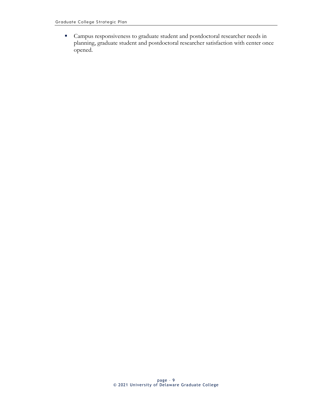Campus responsiveness to graduate student and postdoctoral researcher needs in planning, graduate student and postdoctoral researcher satisfaction with center once opened.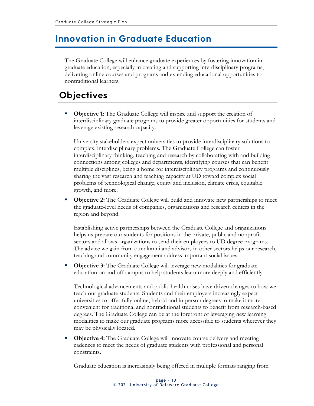### <span id="page-12-0"></span>**Innovation in Graduate Education**

The Graduate College will enhance graduate experiences by fostering innovation in graduate education, especially in creating and supporting interdisciplinary programs, delivering online courses and programs and extending educational opportunities to nontraditional learners.

# <span id="page-12-1"></span>**Objectives**

**• Objective 1:** The Graduate College will inspire and support the creation of interdisciplinary graduate programs to provide greater opportunities for students and leverage existing research capacity.

University stakeholders expect universities to provide interdisciplinary solutions to complex, interdisciplinary problems. The Graduate College can foster interdisciplinary thinking, teaching and research by collaborating with and building connections among colleges and departments, identifying courses that can benefit multiple disciplines, being a home for interdisciplinary programs and continuously sharing the vast research and teaching capacity at UD toward complex social problems of technological change, equity and inclusion, climate crisis, equitable growth, and more.

 **Objective 2:** The Graduate College will build and innovate new partnerships to meet the graduate-level needs of companies, organizations and research centers in the region and beyond.

Establishing active partnerships between the Graduate College and organizations helps us prepare our students for positions in the private, public and nonprofit sectors and allows organizations to send their employees to UD degree programs. The advice we gain from our alumni and advisors in other sectors helps our research, teaching and community engagement address important social issues.

**Objective 3:** The Graduate College will leverage new modalities for graduate education on and off campus to help students learn more deeply and efficiently.

Technological advancements and public health crises have driven changes to how we teach our graduate students. Students and their employers increasingly expect universities to offer fully online, hybrid and in-person degrees to make it more convenient for traditional and nontraditional students to benefit from research-based degrees. The Graduate College can be at the forefront of leveraging new learning modalities to make our graduate programs more accessible to students wherever they may be physically located.

**• Objective 4:** The Graduate College will innovate course delivery and meeting cadences to meet the needs of graduate students with professional and personal constraints.

Graduate education is increasingly being offered in multiple formats ranging from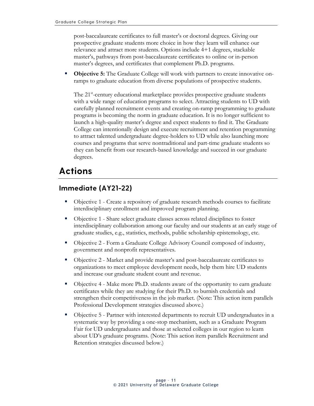post-baccalaureate certificates to full master's or doctoral degrees. Giving our prospective graduate students more choice in how they learn will enhance our relevance and attract more students. Options include 4+1 degrees, stackable master's, pathways from post-baccalaureate certificates to online or in-person master's degrees, and certificates that complement Ph.D. programs.

**• Objective 5:** The Graduate College will work with partners to create innovative onramps to graduate education from diverse populations of prospective students.

The 21<sup>st</sup>-century educational marketplace provides prospective graduate students with a wide range of education programs to select. Attracting students to UD with carefully planned recruitment events and creating on-ramp programming to graduate programs is becoming the norm in graduate education. It is no longer sufficient to launch a high-quality master's degree and expect students to find it. The Graduate College can intentionally design and execute recruitment and retention programming to attract talented undergraduate degree-holders to UD while also launching more courses and programs that serve nontraditional and part-time graduate students so they can benefit from our research-based knowledge and succeed in our graduate degrees.

# <span id="page-13-0"></span>**Actions**

#### <span id="page-13-1"></span>**Immediate (AY21-22)**

- Objective 1 Create a repository of graduate research methods courses to facilitate interdisciplinary enrollment and improved program planning.
- Objective 1 Share select graduate classes across related disciplines to foster interdisciplinary collaboration among our faculty and our students at an early stage of graduate studies, e.g., statistics, methods, public scholarship epistemology, etc.
- Objective 2 Form a Graduate College Advisory Council composed of industry, government and nonprofit representatives.
- Objective 2 Market and provide master's and post-baccalaureate certificates to organizations to meet employee development needs, help them hire UD students and increase our graduate student count and revenue.
- Objective 4 Make more Ph.D. students aware of the opportunity to earn graduate certificates while they are studying for their Ph.D. to burnish credentials and strengthen their competitiveness in the job market. (Note: This action item parallels Professional Development strategies discussed above.)
- Objective 5 Partner with interested departments to recruit UD undergraduates in a systematic way by providing a one-stop mechanism, such as a Graduate Program Fair for UD undergraduates and those at selected colleges in our region to learn about UD's graduate programs. (Note: This action item parallels Recruitment and Retention strategies discussed below.)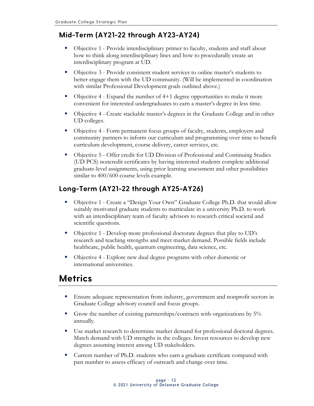#### <span id="page-14-0"></span>**Mid-Term (AY21-22 through AY23-AY24)**

- Objective 1 Provide interdisciplinary primer to faculty, students and staff about how to think along interdisciplinary lines and how to procedurally create an interdisciplinary program at UD.
- Objective 3 Provide consistent student services to online master's students to better engage them with the UD community. (Will be implemented in coordination with similar Professional Development goals outlined above.)
- Objective 4 Expand the number of 4+1 degree opportunities to make it more convenient for interested undergraduates to earn a master's degree in less time.
- Objective 4 Create stackable master's degrees in the Graduate College and in other UD colleges.
- Objective 4 Form permanent focus groups of faculty, students, employers and community partners to inform our curriculum and programming over time to benefit curriculum development, course delivery, career services, etc.
- Objective 5 Offer credit for UD Division of Professional and Continuing Studies (UD PCS) noncredit certificates by having interested students complete additional graduate-level assignments, using prior learning assessment and other possibilities similar to  $400/600$  course levels example.

#### <span id="page-14-1"></span>**Long-Term (AY21-22 through AY25-AY26)**

- Objective 1 Create a "Design Your Own" Graduate College Ph.D. that would allow suitably motivated graduate students to matriculate in a university Ph.D. to work with an interdisciplinary team of faculty advisors to research critical societal and scientific questions.
- Objective 1 Develop more professional doctorate degrees that play to UD's research and teaching strengths and meet market demand. Possible fields include healthcare, public health, quantum engineering, data science, etc.
- Objective 4 Explore new dual degree programs with other domestic or international universities.

### <span id="page-14-2"></span>**Metrics**

- Ensure adequate representation from industry, government and nonprofit sectors in Graduate College advisory council and focus groups.
- Grow the number of existing partnerships/contracts with organizations by 5% annually.
- Use market research to determine market demand for professional doctoral degrees. Match demand with UD strengths in the colleges. Invest resources to develop new degrees assuming interest among UD stakeholders.
- **Current number of Ph.D. students who earn a graduate certificate compared with** past number to assess efficacy of outreach and change over time.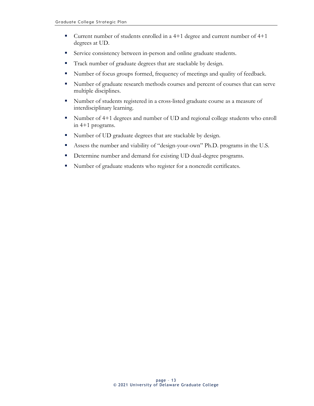- Current number of students enrolled in a 4+1 degree and current number of 4+1 degrees at UD.
- Service consistency between in-person and online graduate students.
- **Track number of graduate degrees that are stackable by design.**
- Number of focus groups formed, frequency of meetings and quality of feedback.
- Number of graduate research methods courses and percent of courses that can serve multiple disciplines.
- Number of students registered in a cross-listed graduate course as a measure of interdisciplinary learning.
- Number of 4+1 degrees and number of UD and regional college students who enroll in 4+1 programs.
- Number of UD graduate degrees that are stackable by design.
- Assess the number and viability of "design-your-own" Ph.D. programs in the U.S.
- Determine number and demand for existing UD dual-degree programs.
- Number of graduate students who register for a noncredit certificates.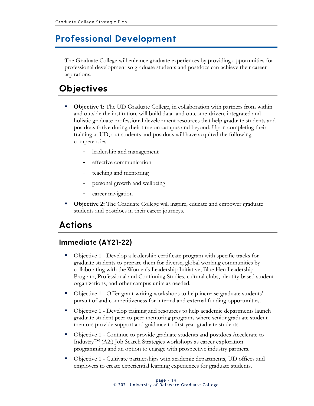### <span id="page-16-0"></span>**Professional Development**

The Graduate College will enhance graduate experiences by providing opportunities for professional development so graduate students and postdocs can achieve their career aspirations.

# <span id="page-16-1"></span>**Objectives**

- **Objective 1:** The UD Graduate College, in collaboration with partners from within and outside the institution, will build data- and outcome-driven, integrated and holistic graduate professional development resources that help graduate students and postdocs thrive during their time on campus and beyond. Upon completing their training at UD, our students and postdocs will have acquired the following competencies:
	- leadership and management
	- effective communication
	- teaching and mentoring
	- personal growth and wellbeing
	- career navigation
- **Objective 2:** The Graduate College will inspire, educate and empower graduate students and postdocs in their career journeys.

### <span id="page-16-2"></span>**Actions**

#### <span id="page-16-3"></span>**Immediate (AY21-22)**

- Objective 1 Develop a leadership certificate program with specific tracks for graduate students to prepare them for diverse, global working communities by collaborating with the Women's Leadership Initiative, Blue Hen Leadership Program, Professional and Continuing Studies, cultural clubs, identity-based student organizations, and other campus units as needed.
- Objective 1 Offer grant-writing workshops to help increase graduate students' pursuit of and competitiveness for internal and external funding opportunities.
- Objective 1 Develop training and resources to help academic departments launch graduate student peer-to-peer mentoring programs where senior graduate student mentors provide support and guidance to first-year graduate students.
- Objective 1 Continue to provide graduate students and postdocs Accelerate to Industry™ (A2i) Job Search Strategies workshops as career exploration programming and an option to engage with prospective industry partners.
- Objective 1 Cultivate partnerships with academic departments, UD offices and employers to create experiential learning experiences for graduate students.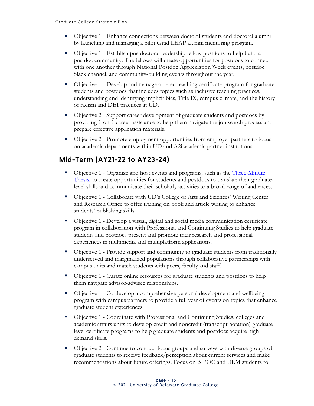- Objective 1 Enhance connections between doctoral students and doctoral alumni by launching and managing a pilot Grad LEAP alumni mentoring program.
- Objective 1 Establish postdoctoral leadership fellow positions to help build a postdoc community. The fellows will create opportunities for postdocs to connect with one another through National Postdoc Appreciation Week events, postdoc Slack channel, and community-building events throughout the year.
- Objective 1 Develop and manage a tiered teaching certificate program for graduate students and postdocs that includes topics such as inclusive teaching practices, understanding and identifying implicit bias, Title IX, campus climate, and the history of racism and DEI practices at UD.
- Objective 2 Support career development of graduate students and postdocs by providing 1-on-1 career assistance to help them navigate the job search process and prepare effective application materials.
- Objective 2 Promote employment opportunities from employer partners to focus on academic departments within UD and A2i academic partner institutions.

#### <span id="page-17-0"></span>**Mid-Term (AY21-22 to AY23-24)**

- Objective 1 Organize and host events and programs, such as the *Three-Minute* [Thesis,](https://gradschool.utexas.edu/three-minute-thesis) to create opportunities for students and postdocs to translate their graduatelevel skills and communicate their scholarly activities to a broad range of audiences.
- Objective 1 Collaborate with UD's College of Arts and Sciences' Writing Center and Research Office to offer training on book and article writing to enhance students' publishing skills.
- Objective 1 Develop a visual, digital and social media communication certificate program in collaboration with Professional and Continuing Studies to help graduate students and postdocs present and promote their research and professional experiences in multimedia and multiplatform applications.
- Objective 1 Provide support and community to graduate students from traditionally underserved and marginalized populations through collaborative partnerships with campus units and match students with peers, faculty and staff.
- Objective 1 Curate online resources for graduate students and postdocs to help them navigate advisor-advisee relationships.
- Objective 1 Co-develop a comprehensive personal development and wellbeing program with campus partners to provide a full year of events on topics that enhance graduate student experiences.
- Objective 1 Coordinate with Professional and Continuing Studies, colleges and academic affairs units to develop credit and noncredit (transcript notation) graduatelevel certificate programs to help graduate students and postdocs acquire highdemand skills.
- Objective 2 Continue to conduct focus groups and surveys with diverse groups of graduate students to receive feedback/perception about current services and make recommendations about future offerings. Focus on BIPOC and URM students to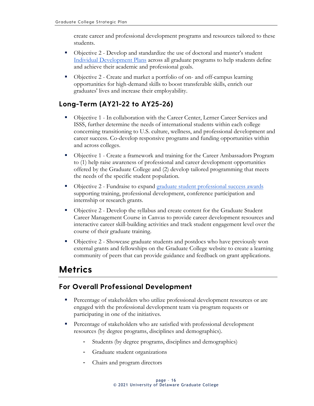create career and professional development programs and resources tailored to these students.

- Objective 2 Develop and standardize the use of doctoral and master's student [Individual Development Plans](https://gradschool.cornell.edu/career-and-professional-development/pathways-to-success/create-your-plan/) across all graduate programs to help students define and achieve their academic and professional goals.
- Objective 2 Create and market a portfolio of on- and off-campus learning opportunities for high-demand skills to boost transferable skills, enrich our graduates' lives and increase their employability.

#### <span id="page-18-0"></span>**Long-Term (AY21-22 to AY25-26)**

- **Dipective 1 In collaboration with the Career Center, Lerner Career Services and** ISSS, further determine the needs of international students within each college concerning transitioning to U.S. culture, wellness, and professional development and career success. Co-develop responsive programs and funding opportunities within and across colleges.
- Objective 1 Create a framework and training for the Career Ambassadors Program to (1) help raise awareness of professional and career development opportunities offered by the Graduate College and (2) develop tailored programming that meets the needs of the specific student population.
- Objective 2 Fundraise to expand [graduate student professional success awards](https://www.udel.edu/academics/colleges/grad/current-students/funding/) supporting training, professional development, conference participation and internship or research grants.
- Objective 2 Develop the syllabus and create content for the Graduate Student Career Management Course in Canvas to provide career development resources and interactive career skill-building activities and track student engagement level over the course of their graduate training.
- Objective 2 Showcase graduate students and postdocs who have previously won external grants and fellowships on the Graduate College website to create a learning community of peers that can provide guidance and feedback on grant applications.

### <span id="page-18-1"></span>**Metrics**

#### <span id="page-18-2"></span>**For Overall Professional Development**

- **Percentage of stakeholders who utilize professional development resources or are** engaged with the professional development team via program requests or participating in one of the initiatives.
- **Percentage of stakeholders who are satisfied with professional development** resources (by degree programs, disciplines and demographics).
	- Students (by degree programs, disciplines and demographics)
	- Graduate student organizations
	- Chairs and program directors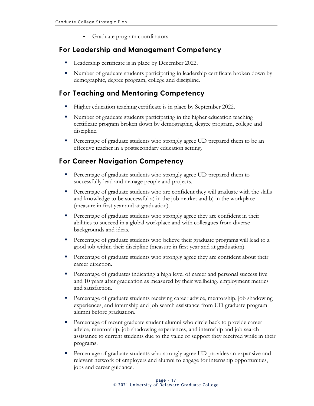Graduate program coordinators

#### <span id="page-19-0"></span>**For Leadership and Management Competency**

- Leadership certificate is in place by December 2022.
- Number of graduate students participating in leadership certificate broken down by demographic, degree program, college and discipline.

#### <span id="page-19-1"></span>**For Teaching and Mentoring Competency**

- Higher education teaching certificate is in place by September 2022.
- Number of graduate students participating in the higher education teaching certificate program broken down by demographic, degree program, college and discipline.
- **Percentage of graduate students who strongly agree UD prepared them to be an** effective teacher in a postsecondary education setting.

#### <span id="page-19-2"></span>**For Career Navigation Competency**

- **Percentage of graduate students who strongly agree UD prepared them to** successfully lead and manage people and projects.
- **Percentage of graduate students who are confident they will graduate with the skills** and knowledge to be successful a) in the job market and b) in the workplace (measure in first year and at graduation).
- **Percentage of graduate students who strongly agree they are confident in their** abilities to succeed in a global workplace and with colleagues from diverse backgrounds and ideas.
- Percentage of graduate students who believe their graduate programs will lead to a good job within their discipline (measure in first year and at graduation).
- Percentage of graduate students who strongly agree they are confident about their career direction.
- **Percentage of graduates indicating a high level of career and personal success five** and 10 years after graduation as measured by their wellbeing, employment metrics and satisfaction.
- **Percentage of graduate students receiving career advice, mentorship, job shadowing** experiences, and internship and job search assistance from UD graduate program alumni before graduation.
- **Percentage of recent graduate student alumni who circle back to provide career** advice, mentorship, job shadowing experiences, and internship and job search assistance to current students due to the value of support they received while in their programs.
- Percentage of graduate students who strongly agree UD provides an expansive and relevant network of employers and alumni to engage for internship opportunities, jobs and career guidance.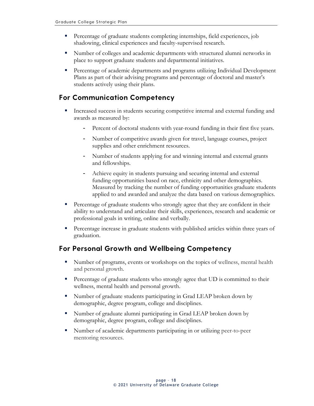- **Percentage of graduate students completing internships, field experiences, job** shadowing, clinical experiences and faculty-supervised research.
- Number of colleges and academic departments with structured alumni networks in place to support graduate students and departmental initiatives.
- **Percentage of academic departments and programs utilizing Individual Development** Plans as part of their advising programs and percentage of doctoral and master's students actively using their plans.

#### <span id="page-20-0"></span>**For Communication Competency**

- Increased success in students securing competitive internal and external funding and awards as measured by:
	- Percent of doctoral students with year-round funding in their first five years.
	- Number of competitive awards given for travel, language courses, project supplies and other enrichment resources.
	- Number of students applying for and winning internal and external grants and fellowships.
	- Achieve equity in students pursuing and securing internal and external funding opportunities based on race, ethnicity and other demographics. Measured by tracking the number of funding opportunities graduate students applied to and awarded and analyze the data based on various demographics.
- Percentage of graduate students who strongly agree that they are confident in their ability to understand and articulate their skills, experiences, research and academic or professional goals in writing, online and verbally.
- Percentage increase in graduate students with published articles within three years of graduation.

#### <span id="page-20-1"></span>**For Personal Growth and Wellbeing Competency**

- Number of programs, events or workshops on the topics of wellness, mental health and personal growth.
- **Percentage of graduate students who strongly agree that UD is committed to their** wellness, mental health and personal growth.
- Number of graduate students participating in Grad LEAP broken down by demographic, degree program, college and disciplines.
- Number of graduate alumni participating in Grad LEAP broken down by demographic, degree program, college and disciplines.
- Number of academic departments participating in or utilizing peer-to-peer mentoring resources.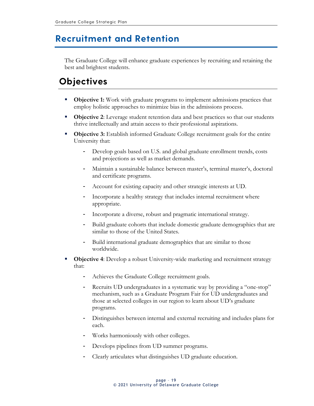### <span id="page-21-0"></span>**Recruitment and Retention**

The Graduate College will enhance graduate experiences by recruiting and retaining the best and brightest students.

# <span id="page-21-1"></span>**Objectives**

- **Dbjective 1:** Work with graduate programs to implement admissions practices that employ holistic approaches to minimize bias in the admissions process.
- **Objective 2:** Leverage student retention data and best practices so that our students thrive intellectually and attain access to their professional aspirations.
- **Differencerive 3:** Establish informed Graduate College recruitment goals for the entire University that:
	- Develop goals based on U.S. and global graduate enrollment trends, costs and projections as well as market demands.
	- Maintain a sustainable balance between master's, terminal master's, doctoral and certificate programs.
	- Account for existing capacity and other strategic interests at UD.
	- Incorporate a healthy strategy that includes internal recruitment where appropriate.
	- Incorporate a diverse, robust and pragmatic international strategy.
	- Build graduate cohorts that include domestic graduate demographics that are similar to those of the United States.
	- Build international graduate demographics that are similar to those worldwide.
- **Objective 4**: Develop a robust University-wide marketing and recruitment strategy that:
	- Achieves the Graduate College recruitment goals.
	- Recruits UD undergraduates in a systematic way by providing a "one-stop" mechanism, such as a Graduate Program Fair for UD undergraduates and those at selected colleges in our region to learn about UD's graduate programs.
	- Distinguishes between internal and external recruiting and includes plans for each.
	- Works harmoniously with other colleges.
	- Develops pipelines from UD summer programs.
	- Clearly articulates what distinguishes UD graduate education.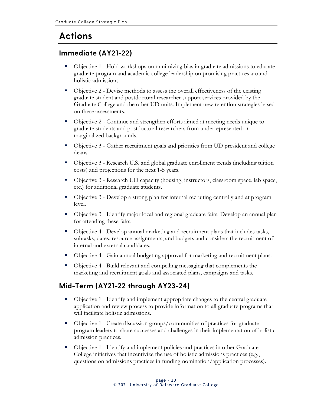# <span id="page-22-0"></span>**Actions**

#### <span id="page-22-1"></span>**Immediate (AY21-22)**

- Objective 1 Hold workshops on minimizing bias in graduate admissions to educate graduate program and academic college leadership on promising practices around holistic admissions.
- Objective 2 Devise methods to assess the overall effectiveness of the existing graduate student and postdoctoral researcher support services provided by the Graduate College and the other UD units. Implement new retention strategies based on these assessments.
- Objective 2 Continue and strengthen efforts aimed at meeting needs unique to graduate students and postdoctoral researchers from underrepresented or marginalized backgrounds.
- Objective 3 Gather recruitment goals and priorities from UD president and college deans.
- Objective 3 Research U.S. and global graduate enrollment trends (including tuition costs) and projections for the next 1-5 years.
- Objective 3 Research UD capacity (housing, instructors, classroom space, lab space, etc.) for additional graduate students.
- Objective 3 Develop a strong plan for internal recruiting centrally and at program level.
- Objective 3 Identify major local and regional graduate fairs. Develop an annual plan for attending these fairs.
- Objective 4 Develop annual marketing and recruitment plans that includes tasks, subtasks, dates, resource assignments, and budgets and considers the recruitment of internal and external candidates.
- Objective 4 Gain annual budgeting approval for marketing and recruitment plans.
- Objective 4 Build relevant and compelling messaging that complements the marketing and recruitment goals and associated plans, campaigns and tasks.

#### <span id="page-22-2"></span>**Mid-Term (AY21-22 through AY23-24)**

- Objective 1 Identify and implement appropriate changes to the central graduate application and review process to provide information to all graduate programs that will facilitate holistic admissions.
- Objective 1 Create discussion groups/communities of practices for graduate program leaders to share successes and challenges in their implementation of holistic admission practices.
- Objective 1 Identify and implement policies and practices in other Graduate College initiatives that incentivize the use of holistic admissions practices (e.g., questions on admissions practices in funding nomination/application processes).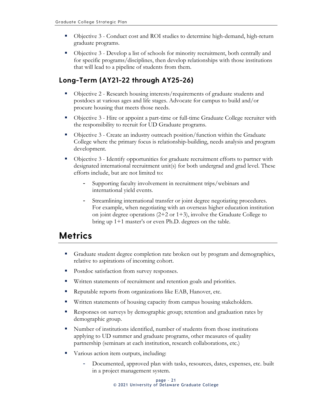- Objective 3 Conduct cost and ROI studies to determine high-demand, high-return graduate programs.
- Objective 3 Develop a list of schools for minority recruitment, both centrally and for specific programs/disciplines, then develop relationships with those institutions that will lead to a pipeline of students from them.

#### <span id="page-23-0"></span>**Long-Term (AY21-22 through AY25-26)**

- Objective 2 Research housing interests/requirements of graduate students and postdocs at various ages and life stages. Advocate for campus to build and/or procure housing that meets those needs.
- Objective 3 Hire or appoint a part-time or full-time Graduate College recruiter with the responsibility to recruit for UD Graduate programs.
- Objective 3 Create an industry outreach position/function within the Graduate College where the primary focus is relationship-building, needs analysis and program development.
- Objective 3 Identify opportunities for graduate recruitment efforts to partner with designated international recruitment unit(s) for both undergrad and grad level. These efforts include, but are not limited to:
	- Supporting faculty involvement in recruitment trips/webinars and international yield events.
	- Streamlining international transfer or joint degree negotiating procedures. For example, when negotiating with an overseas higher education institution on joint degree operations  $(2+2 \text{ or } 1+3)$ , involve the Graduate College to bring up 1+1 master's or even Ph.D. degrees on the table.

# <span id="page-23-1"></span>**Metrics**

- Graduate student degree completion rate broken out by program and demographics, relative to aspirations of incoming cohort.
- **Postdoc satisfaction from survey responses.**
- **Written statements of recruitment and retention goals and priorities.**
- Reputable reports from organizations like EAB, Hanover, etc.
- **Written statements of housing capacity from campus housing stakeholders.**
- Responses on surveys by demographic group; retention and graduation rates by demographic group.
- Number of institutions identified, number of students from those institutions applying to UD summer and graduate programs, other measures of quality partnership (seminars at each institution, research collaborations, etc.)
- Various action item outputs, including:
	- Documented, approved plan with tasks, resources, dates, expenses, etc. built in a project management system.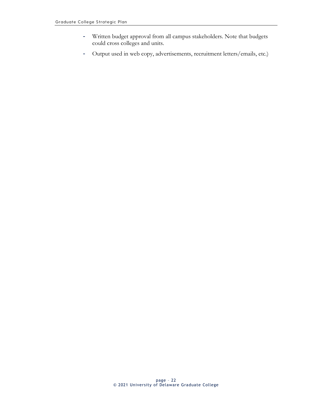- Written budget approval from all campus stakeholders. Note that budgets could cross colleges and units.
- Output used in web copy, advertisements, recruitment letters/emails, etc.)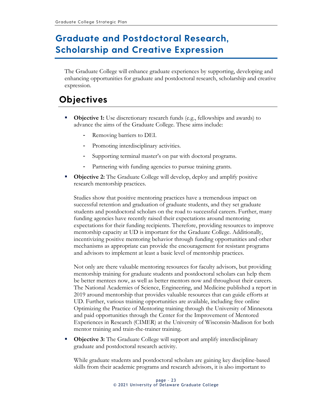# <span id="page-25-0"></span>**Graduate and Postdoctoral Research, Scholarship and Creative Expression**

The Graduate College will enhance graduate experiences by supporting, developing and enhancing opportunities for graduate and postdoctoral research, scholarship and creative expression.

### <span id="page-25-1"></span>**Objectives**

- **Objective 1:** Use discretionary research funds (e.g., fellowships and awards) to advance the aims of the Graduate College. These aims include:
	- Removing barriers to DEI.
	- Promoting interdisciplinary activities.
	- Supporting terminal master's on par with doctoral programs.
	- Partnering with funding agencies to pursue training grants.
- **Objective 2:** The Graduate College will develop, deploy and amplify positive research mentorship practices.

Studies show that positive mentoring practices have a tremendous impact on successful retention and graduation of graduate students, and they set graduate students and postdoctoral scholars on the road to successful careers. Further, many funding agencies have recently raised their expectations around mentoring expectations for their funding recipients. Therefore, providing resources to improve mentorship capacity at UD is important for the Graduate College. Additionally, incentivizing positive mentoring behavior through funding opportunities and other mechanisms as appropriate can provide the encouragement for resistant programs and advisors to implement at least a basic level of mentorship practices.

Not only are there valuable mentoring resources for faculty advisors, but providing mentorship training for graduate students and postdoctoral scholars can help them be better mentees now, as well as better mentors now and throughout their careers. The National Academies of Science, Engineering, and Medicine published a report in 2019 around mentorship that provides valuable resources that can guide efforts at UD. Further, various training opportunities are available, including free online Optimizing the Practice of Mentoring training through the University of Minnesota and paid opportunities through the Center for the Improvement of Mentored Experiences in Research (CIMER) at the University of Wisconsin-Madison for both mentor training and train-the-trainer training.

**• Objective 3:** The Graduate College will support and amplify interdisciplinary graduate and postdoctoral research activity.

While graduate students and postdoctoral scholars are gaining key discipline-based skills from their academic programs and research advisors, it is also important to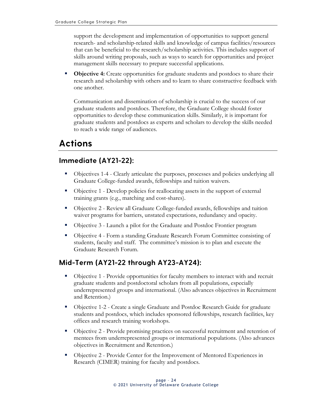support the development and implementation of opportunities to support general research- and scholarship-related skills and knowledge of campus facilities/resources that can be beneficial to the research/scholarship activities. This includes support of skills around writing proposals, such as ways to search for opportunities and project management skills necessary to prepare successful applications.

**Objective 4:** Create opportunities for graduate students and postdocs to share their research and scholarship with others and to learn to share constructive feedback with one another.

Communication and dissemination of scholarship is crucial to the success of our graduate students and postdocs. Therefore, the Graduate College should foster opportunities to develop these communication skills. Similarly, it is important for graduate students and postdocs as experts and scholars to develop the skills needed to reach a wide range of audiences.

## <span id="page-26-0"></span>**Actions**

#### <span id="page-26-1"></span>**Immediate (AY21-22):**

- Objectives 1-4 Clearly articulate the purposes, processes and policies underlying all Graduate College-funded awards, fellowships and tuition waivers.
- Objective 1 Develop policies for reallocating assets in the support of external training grants (e.g., matching and cost-shares).
- Objective 2 Review all Graduate College-funded awards, fellowships and tuition waiver programs for barriers, unstated expectations, redundancy and opacity.
- Objective 3 Launch a pilot for the Graduate and Postdoc Frontier program
- Objective 4 Form a standing Graduate Research Forum Committee consisting of students, faculty and staff. The committee's mission is to plan and execute the Graduate Research Forum.

#### <span id="page-26-2"></span>**Mid-Term (AY21-22 through AY23-AY24):**

- Objective 1 Provide opportunities for faculty members to interact with and recruit graduate students and postdoctoral scholars from all populations, especially underrepresented groups and international. (Also advances objectives in Recruitment and Retention.)
- Objective 1-2 Create a single Graduate and Postdoc Research Guide for graduate students and postdocs, which includes sponsored fellowships, research facilities, key offices and research training workshops.
- Objective 2 Provide promising practices on successful recruitment and retention of mentees from underrepresented groups or international populations. (Also advances objectives in Recruitment and Retention.)
- **D** Objective 2 Provide Center for the Improvement of Mentored Experiences in Research (CIMER) training for faculty and postdocs.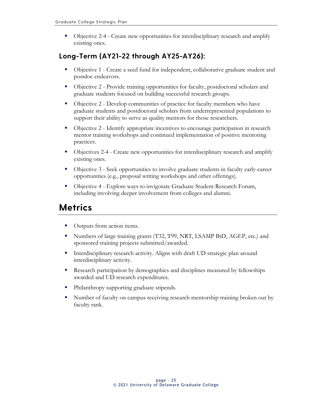Objective 2-4 - Create new opportunities for interdisciplinary research and amplify existing ones.

#### <span id="page-27-0"></span>**Long-Term (AY21-22 through AY25-AY26):**

- Objective 1 Create a seed fund for independent, collaborative graduate student and postdoc endeavors.
- Objective 2 Provide training opportunities for faculty, postdoctoral scholars and graduate students focused on building successful research groups.
- Objective 2 Develop communities of practice for faculty members who have graduate students and postdoctoral scholars from underrepresented populations to support their ability to serve as quality mentors for those researchers.
- Objective 2 Identify appropriate incentives to encourage participation in research mentor training workshops and continued implementation of positive mentoring practices.
- Objectives 2-4 Create new opportunities for interdisciplinary research and amplify existing ones.
- Objective 3 Seek opportunities to involve graduate students in faculty early-career opportunities (e.g., proposal writing workshops and other offerings).
- Objective 4 Explore ways to invigorate Graduate Student Research Forum, including involving deeper involvement from colleges and alumni.

### <span id="page-27-1"></span>**Metrics**

- **•** Outputs from action items.
- Numbers of large training grants (T32, T99, NRT, LSAMP BtD, AGEP, etc.) and sponsored training projects submitted/awarded.
- Interdisciplinary research activity. Aligns with draft UD strategic plan around interdisciplinary activity.
- **Research participation by demographics and disciplines measured by fellowships** awarded and UD research expenditures.
- Philanthropy supporting graduate stipends.
- Number of faculty on campus receiving research mentorship training broken out by faculty rank.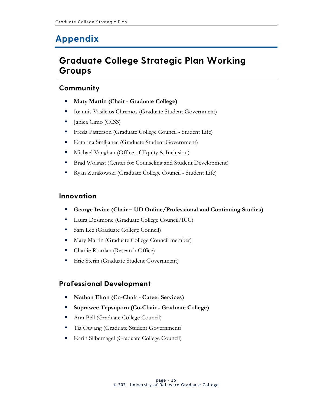# <span id="page-28-0"></span>**Appendix**

### <span id="page-28-1"></span>**Graduate College Strategic Plan Working Groups**

#### <span id="page-28-2"></span>**Community**

- **Mary Martin (Chair - Graduate College)**
- Ioannis Vasileios Chremos (Graduate Student Government)
- **I** Janica Cimo (OISS)
- Freda Patterson (Graduate College Council Student Life)
- Katarina Smiljanec (Graduate Student Government)
- **Michael Vaughan (Office of Equity & Inclusion)**
- **Brad Wolgast (Center for Counseling and Student Development)**
- Ryan Zurakowski (Graduate College Council Student Life)

#### <span id="page-28-3"></span>**Innovation**

- **George Irvine (Chair – UD Online/Professional and Continuing Studies)**
- **Laura Desimone (Graduate College Council/ICC)**
- **Sam Lee (Graduate College Council)**
- **Mary Martin (Graduate College Council member)**
- Charlie Riordan (Research Office)
- **Eric Sterin (Graduate Student Government)**

#### <span id="page-28-4"></span>**Professional Development**

- **Nathan Elton (Co-Chair - Career Services)**
- **Suprawee Tepsuporn (Co-Chair - Graduate College)**
- Ann Bell (Graduate College Council)
- Tia Ouyang (Graduate Student Government)
- Karin Silbernagel (Graduate College Council)